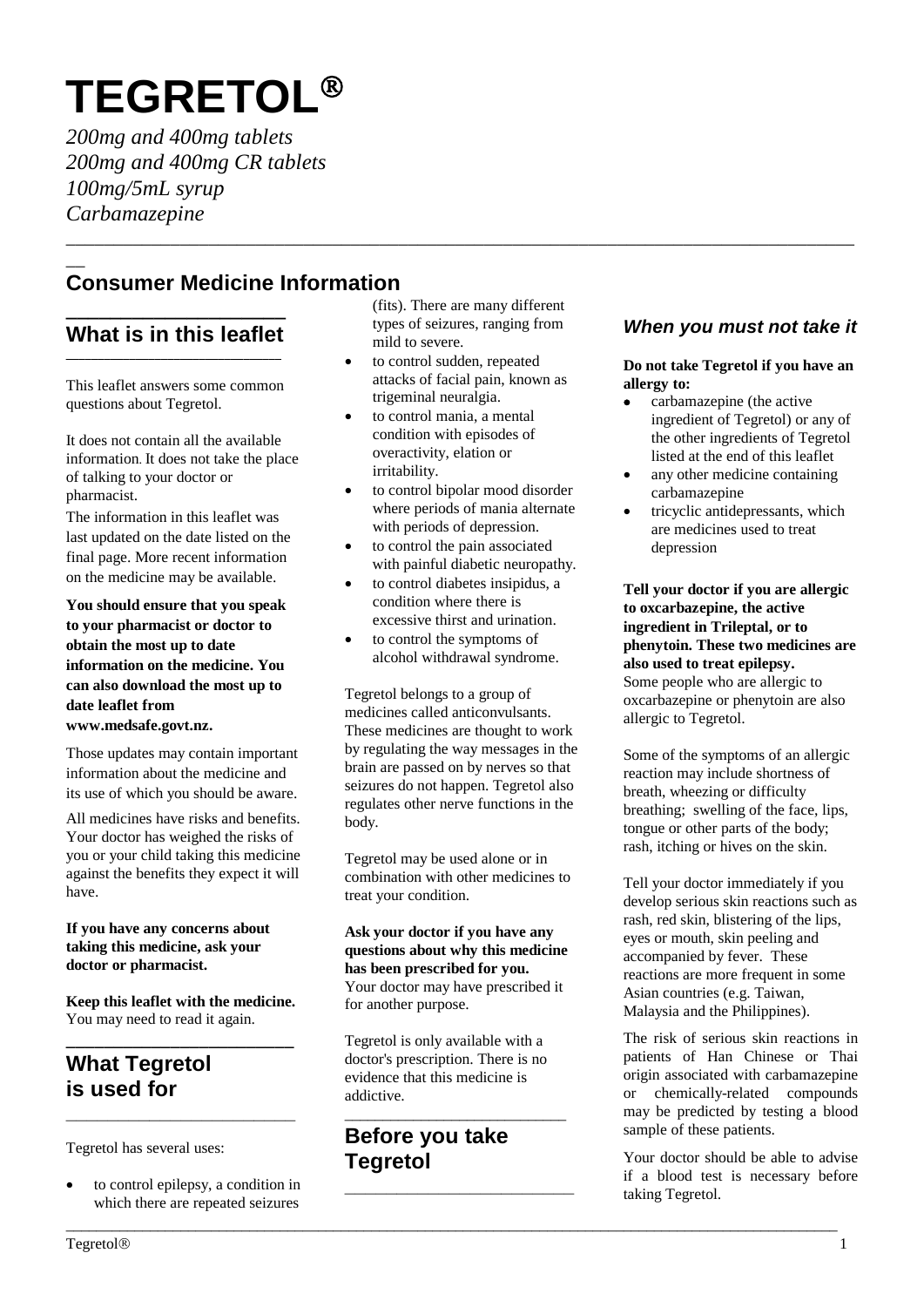# **TEGRETOL**

*200mg and 400mg tablets 200mg and 400mg CR tablets 100mg/5mL syrup Carbamazepine*

## $\overline{\phantom{a}}$ **Consumer Medicine Information**

## **\_\_\_\_\_\_\_\_\_\_\_\_\_\_\_\_\_\_\_\_ What is in this leaflet \_\_\_\_\_\_\_\_\_\_\_\_\_\_\_\_\_\_\_\_\_\_\_\_\_\_\_\_\_\_\_\_\_\_**

This leaflet answers some common questions about Tegretol.

It does not contain all the available information. It does not take the place of talking to your doctor or pharmacist.

The information in this leaflet was last updated on the date listed on the final page. More recent information on the medicine may be available.

**You should ensure that you speak to your pharmacist or doctor to obtain the most up to date information on the medicine. You can also download the most up to date leaflet from www.medsafe.govt.nz.** 

Those updates may contain important information about the medicine and its use of which you should be aware.

All medicines have risks and benefits. Your doctor has weighed the risks of you or your child taking this medicine against the benefits they expect it will have.

## **If you have any concerns about taking this medicine, ask your doctor or pharmacist.**

**Keep this leaflet with the medicine.** You may need to read it again.

## **\_\_\_\_\_\_\_\_\_\_\_\_\_\_\_\_\_\_\_\_\_\_\_\_ What Tegretol is used for**

Tegretol has several uses:

• to control epilepsy, a condition in which there are repeated seizures

**\_\_\_\_\_\_\_\_\_\_\_\_\_\_\_\_\_\_\_\_\_\_**

(fits). There are many different types of seizures, ranging from mild to severe.

\_\_\_\_\_\_\_\_\_\_\_\_\_\_\_\_\_\_\_\_\_\_\_\_\_\_\_\_\_\_\_\_\_\_\_\_\_\_\_\_\_\_\_\_\_\_\_\_\_\_\_\_\_\_\_\_\_\_\_\_\_\_\_\_\_\_\_\_\_\_\_\_\_\_\_\_\_\_\_\_\_\_\_

- to control sudden, repeated attacks of facial pain, known as trigeminal neuralgia.
- to control mania, a mental condition with episodes of overactivity, elation or irritability.
- to control bipolar mood disorder where periods of mania alternate with periods of depression.
- to control the pain associated with painful diabetic neuropathy.
- to control diabetes insipidus, a condition where there is excessive thirst and urination.
- to control the symptoms of alcohol withdrawal syndrome.

Tegretol belongs to a group of medicines called anticonvulsants. These medicines are thought to work by regulating the way messages in the brain are passed on by nerves so that seizures do not happen. Tegretol also regulates other nerve functions in the body.

Tegretol may be used alone or in combination with other medicines to treat your condition.

**Ask your doctor if you have any questions about why this medicine has been prescribed for you.** Your doctor may have prescribed it for another purpose.

Tegretol is only available with a doctor's prescription. There is no evidence that this medicine is addictive.

\_\_\_\_\_\_\_\_\_\_\_\_\_\_\_\_\_\_\_\_\_\_\_\_\_\_\_\_\_

\_\_\_\_\_\_\_\_\_\_\_\_\_\_\_\_\_\_\_\_\_\_\_\_\_\_\_\_\_\_\_\_\_\_\_\_\_\_\_\_\_\_\_\_\_\_\_\_\_\_\_\_\_\_\_\_\_\_\_\_\_\_\_\_\_\_\_\_\_\_\_\_\_\_\_\_\_\_\_\_\_\_\_\_\_\_\_\_\_\_\_\_\_\_\_\_\_\_\_\_\_

**\_\_\_\_\_\_\_\_\_\_\_\_\_\_\_\_\_\_\_\_\_\_**

# **Before you take Tegretol**

## *When you must not take it*

**Do not take Tegretol if you have an allergy to:**

- carbamazepine (the active ingredient of Tegretol) or any of the other ingredients of Tegretol listed at the end of this leaflet
- any other medicine containing carbamazepine
- tricyclic antidepressants, which are medicines used to treat depression

**Tell your doctor if you are allergic to oxcarbazepine, the active ingredient in Trileptal, or to phenytoin. These two medicines are also used to treat epilepsy.**  Some people who are allergic to oxcarbazepine or phenytoin are also allergic to Tegretol.

Some of the symptoms of an allergic reaction may include shortness of breath, wheezing or difficulty breathing; swelling of the face, lips, tongue or other parts of the body; rash, itching or hives on the skin.

Tell your doctor immediately if you develop serious skin reactions such as rash, red skin, blistering of the lips, eyes or mouth, skin peeling and accompanied by fever. These reactions are more frequent in some Asian countries (e.g. Taiwan, Malaysia and the Philippines).

The risk of serious skin reactions in patients of Han Chinese or Thai origin associated with carbamazepine or chemically-related compounds may be predicted by testing a blood sample of these patients.

Your doctor should be able to advise if a blood test is necessary before taking Tegretol.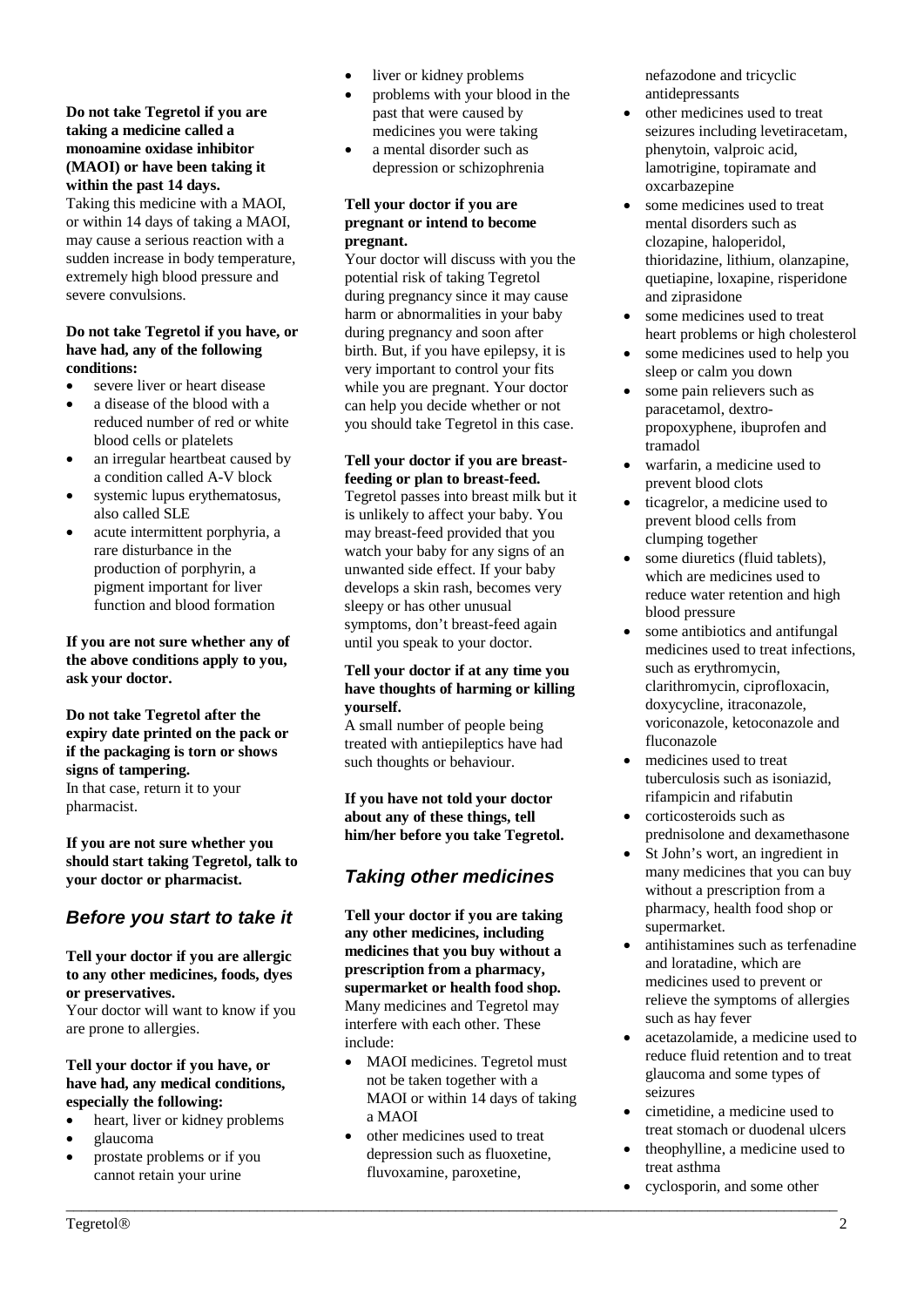#### **Do not take Tegretol if you are taking a medicine called a monoamine oxidase inhibitor (MAOI) or have been taking it within the past 14 days.**

Taking this medicine with a MAOI, or within 14 days of taking a MAOI, may cause a serious reaction with a sudden increase in body temperature, extremely high blood pressure and severe convulsions.

#### **Do not take Tegretol if you have, or have had, any of the following conditions:**

- severe liver or heart disease
- a disease of the blood with a reduced number of red or white blood cells or platelets
- an irregular heartbeat caused by a condition called A-V block
- systemic lupus erythematosus, also called SLE
- acute intermittent porphyria, a rare disturbance in the production of porphyrin, a pigment important for liver function and blood formation

## **If you are not sure whether any of the above conditions apply to you, ask your doctor.**

**Do not take Tegretol after the expiry date printed on the pack or if the packaging is torn or shows signs of tampering.** In that case, return it to your pharmacist.

**If you are not sure whether you should start taking Tegretol, talk to your doctor or pharmacist.**

## *Before you start to take it*

#### **Tell your doctor if you are allergic to any other medicines, foods, dyes or preservatives.**

Your doctor will want to know if you are prone to allergies.

#### **Tell your doctor if you have, or have had, any medical conditions, especially the following:**

- heart, liver or kidney problems
- glaucoma
- prostate problems or if you cannot retain your urine
- liver or kidney problems
- problems with your blood in the past that were caused by medicines you were taking
- a mental disorder such as depression or schizophrenia

#### **Tell your doctor if you are pregnant or intend to become pregnant.**

Your doctor will discuss with you the potential risk of taking Tegretol during pregnancy since it may cause harm or abnormalities in your baby during pregnancy and soon after birth. But, if you have epilepsy, it is very important to control your fits while you are pregnant. Your doctor can help you decide whether or not you should take Tegretol in this case.

## **Tell your doctor if you are breastfeeding or plan to breast-feed.**

Tegretol passes into breast milk but it is unlikely to affect your baby. You may breast-feed provided that you watch your baby for any signs of an unwanted side effect. If your baby develops a skin rash, becomes very sleepy or has other unusual symptoms, don't breast-feed again until you speak to your doctor.

#### **Tell your doctor if at any time you have thoughts of harming or killing yourself.**

A small number of people being treated with antiepileptics have had such thoughts or behaviour.

**If you have not told your doctor about any of these things, tell him/her before you take Tegretol.** 

# *Taking other medicines*

**Tell your doctor if you are taking any other medicines, including medicines that you buy without a prescription from a pharmacy, supermarket or health food shop.**  Many medicines and Tegretol may interfere with each other. These include:

- MAOI medicines. Tegretol must not be taken together with a MAOI or within 14 days of taking a MAOI
- other medicines used to treat depression such as fluoxetine, fluvoxamine, paroxetine,

\_\_\_\_\_\_\_\_\_\_\_\_\_\_\_\_\_\_\_\_\_\_\_\_\_\_\_\_\_\_\_\_\_\_\_\_\_\_\_\_\_\_\_\_\_\_\_\_\_\_\_\_\_\_\_\_\_\_\_\_\_\_\_\_\_\_\_\_\_\_\_\_\_\_\_\_\_\_\_\_\_\_\_\_\_\_\_\_\_\_\_\_\_\_\_\_\_\_\_\_\_

nefazodone and tricyclic antidepressants

- other medicines used to treat seizures including levetiracetam, phenytoin, valproic acid, lamotrigine, topiramate and oxcarbazepine
- some medicines used to treat mental disorders such as clozapine, haloperidol, thioridazine, lithium, olanzapine, quetiapine, loxapine, risperidone and ziprasidone
- some medicines used to treat heart problems or high cholesterol
- some medicines used to help you sleep or calm you down
- some pain relievers such as paracetamol, dextropropoxyphene, ibuprofen and tramadol
- warfarin, a medicine used to prevent blood clots
- ticagrelor, a medicine used to prevent blood cells from clumping together
- some diuretics (fluid tablets). which are medicines used to reduce water retention and high blood pressure
- some antibiotics and antifungal medicines used to treat infections, such as erythromycin, clarithromycin, ciprofloxacin, doxycycline, itraconazole, voriconazole, ketoconazole and fluconazole
- medicines used to treat tuberculosis such as isoniazid, rifampicin and rifabutin
- corticosteroids such as prednisolone and dexamethasone
- St John's wort, an ingredient in many medicines that you can buy without a prescription from a pharmacy, health food shop or supermarket.
- antihistamines such as terfenadine and loratadine, which are medicines used to prevent or relieve the symptoms of allergies such as hay fever
- acetazolamide, a medicine used to reduce fluid retention and to treat glaucoma and some types of seizures
- cimetidine, a medicine used to treat stomach or duodenal ulcers
- theophylline, a medicine used to treat asthma
- cyclosporin, and some other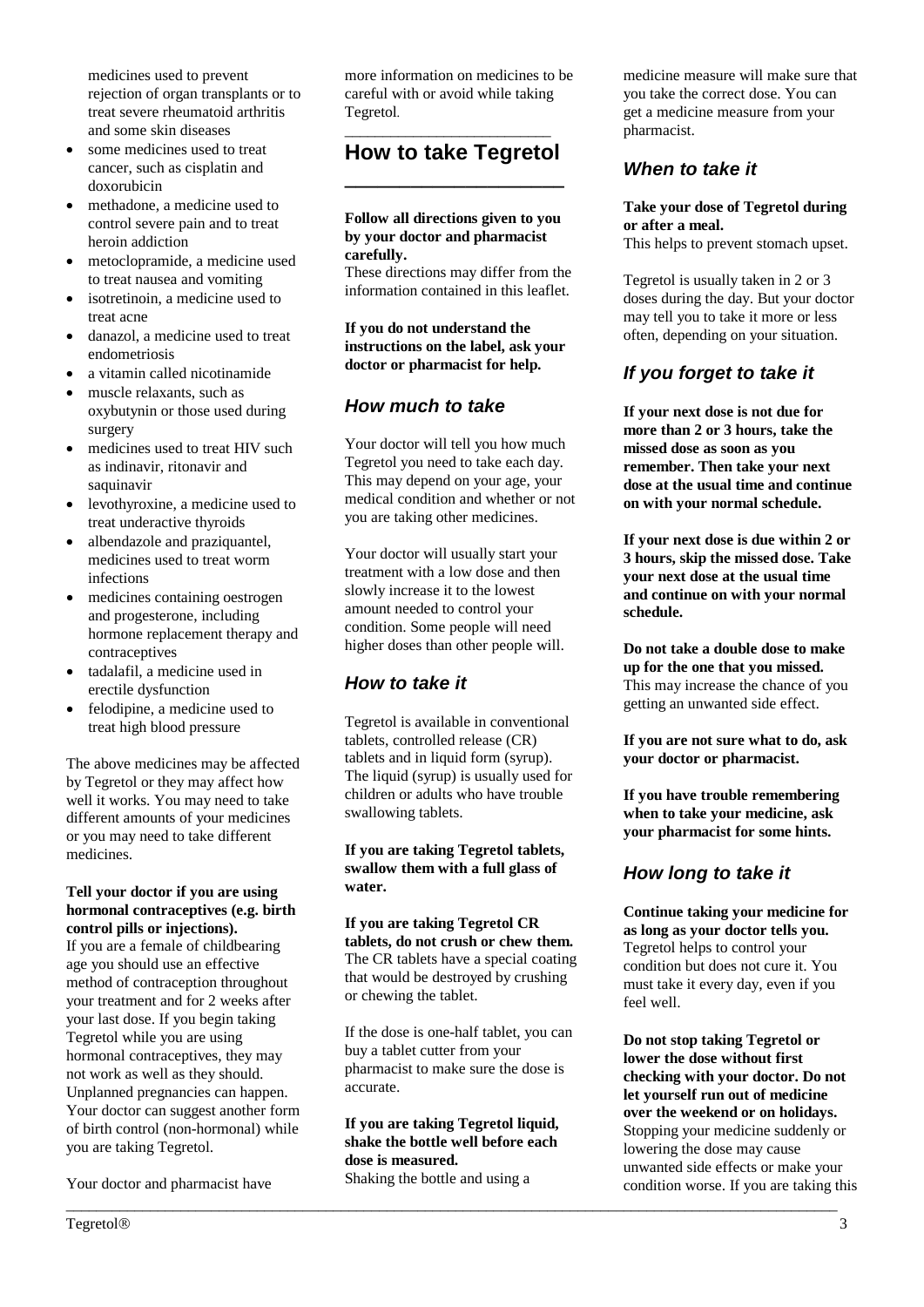medicines used to prevent rejection of organ transplants or to treat severe rheumatoid arthritis and some skin diseases

- some medicines used to treat cancer, such as cisplatin and doxorubicin
- methadone, a medicine used to control severe pain and to treat heroin addiction
- metoclopramide, a medicine used to treat nausea and vomiting
- isotretinoin, a medicine used to treat acne
- danazol, a medicine used to treat endometriosis
- a vitamin called nicotinamide
- muscle relaxants, such as oxybutynin or those used during surgery
- medicines used to treat HIV such as indinavir, ritonavir and saquinavir
- levothyroxine, a medicine used to treat underactive thyroids
- albendazole and praziquantel, medicines used to treat worm infections
- medicines containing oestrogen and progesterone, including hormone replacement therapy and contraceptives
- tadalafil, a medicine used in erectile dysfunction
- felodipine, a medicine used to treat high blood pressure

The above medicines may be affected by Tegretol or they may affect how well it works. You may need to take different amounts of your medicines or you may need to take different medicines.

#### **Tell your doctor if you are using hormonal contraceptives (e.g. birth control pills or injections).**

If you are a female of childbearing age you should use an effective method of contraception throughout your treatment and for 2 weeks after your last dose. If you begin taking Tegretol while you are using hormonal contraceptives, they may not work as well as they should. Unplanned pregnancies can happen. Your doctor can suggest another form of birth control (non-hormonal) while you are taking Tegretol.

Your doctor and pharmacist have

more information on medicines to be careful with or avoid while taking Tegretol.

## \_\_\_\_\_\_\_\_\_\_\_\_\_\_\_\_\_\_\_\_\_\_\_\_\_\_\_ **How to take Tegretol \_\_\_\_\_\_\_\_\_\_\_\_\_\_\_\_\_\_\_\_**

#### **Follow all directions given to you by your doctor and pharmacist carefully.**

These directions may differ from the information contained in this leaflet.

#### **If you do not understand the instructions on the label, ask your doctor or pharmacist for help.**

## *How much to take*

Your doctor will tell you how much Tegretol you need to take each day. This may depend on your age, your medical condition and whether or not you are taking other medicines.

Your doctor will usually start your treatment with a low dose and then slowly increase it to the lowest amount needed to control your condition. Some people will need higher doses than other people will.

# *How to take it*

Tegretol is available in conventional tablets, controlled release (CR) tablets and in liquid form (syrup). The liquid (syrup) is usually used for children or adults who have trouble swallowing tablets.

#### **If you are taking Tegretol tablets, swallow them with a full glass of water.**

**If you are taking Tegretol CR tablets, do not crush or chew them.** The CR tablets have a special coating that would be destroyed by crushing or chewing the tablet.

If the dose is one-half tablet, you can buy a tablet cutter from your pharmacist to make sure the dose is accurate.

## **If you are taking Tegretol liquid, shake the bottle well before each dose is measured.**

\_\_\_\_\_\_\_\_\_\_\_\_\_\_\_\_\_\_\_\_\_\_\_\_\_\_\_\_\_\_\_\_\_\_\_\_\_\_\_\_\_\_\_\_\_\_\_\_\_\_\_\_\_\_\_\_\_\_\_\_\_\_\_\_\_\_\_\_\_\_\_\_\_\_\_\_\_\_\_\_\_\_\_\_\_\_\_\_\_\_\_\_\_\_\_\_\_\_\_\_\_

Shaking the bottle and using a

medicine measure will make sure that you take the correct dose. You can get a medicine measure from your pharmacist.

## *When to take it*

#### **Take your dose of Tegretol during or after a meal.**

This helps to prevent stomach upset.

Tegretol is usually taken in 2 or 3 doses during the day. But your doctor may tell you to take it more or less often, depending on your situation.

## *If you forget to take it*

**If your next dose is not due for more than 2 or 3 hours, take the missed dose as soon as you remember. Then take your next dose at the usual time and continue on with your normal schedule.**

**If your next dose is due within 2 or 3 hours, skip the missed dose. Take your next dose at the usual time and continue on with your normal schedule.**

**Do not take a double dose to make up for the one that you missed.** This may increase the chance of you getting an unwanted side effect.

**If you are not sure what to do, ask your doctor or pharmacist.**

**If you have trouble remembering when to take your medicine, ask your pharmacist for some hints.**

## *How long to take it*

**Continue taking your medicine for as long as your doctor tells you.** Tegretol helps to control your condition but does not cure it. You must take it every day, even if you feel well.

**Do not stop taking Tegretol or lower the dose without first checking with your doctor. Do not let yourself run out of medicine over the weekend or on holidays.** Stopping your medicine suddenly or lowering the dose may cause unwanted side effects or make your condition worse. If you are taking this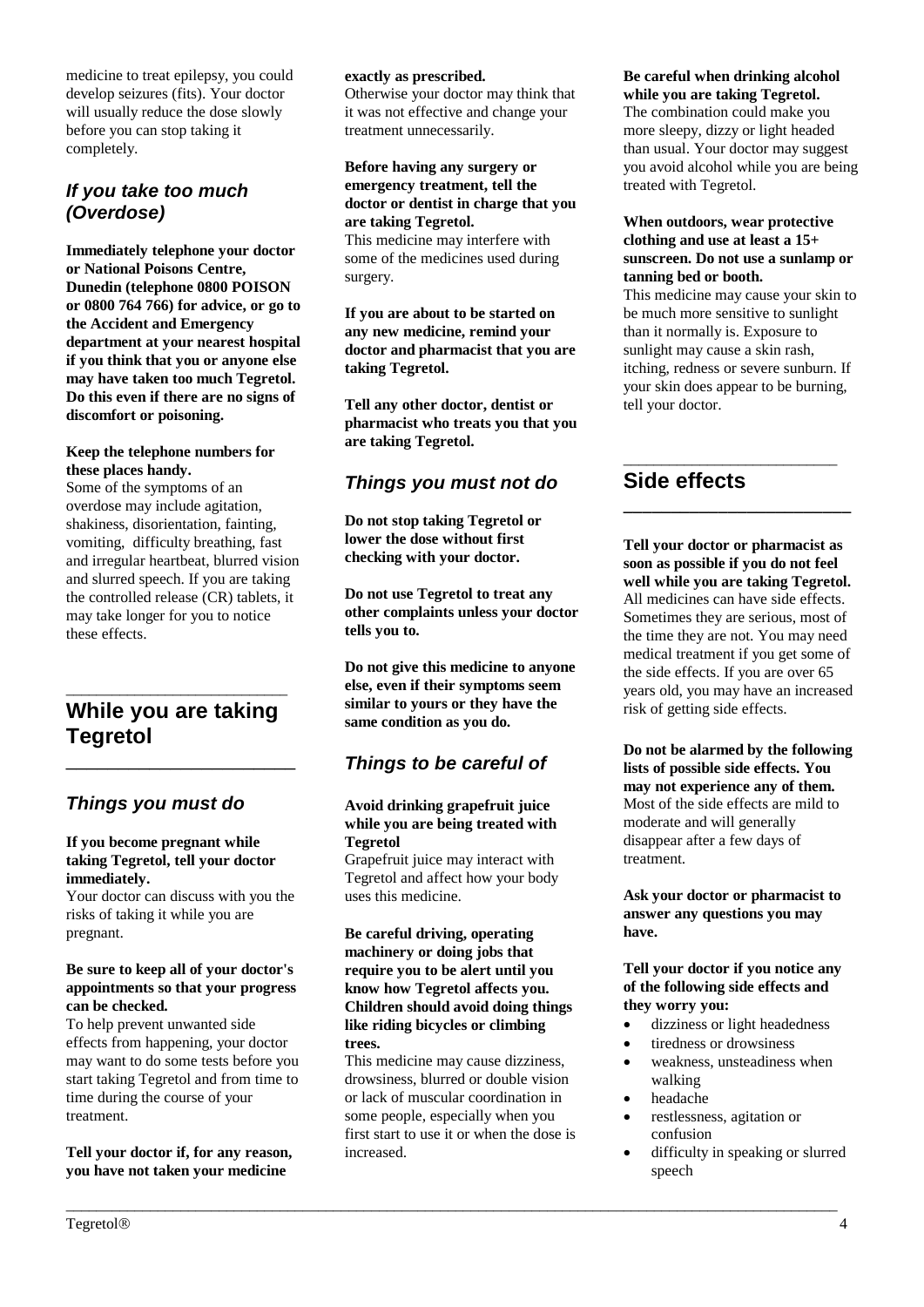medicine to treat epilepsy, you could develop seizures (fits). Your doctor will usually reduce the dose slowly before you can stop taking it completely.

## *If you take too much (Overdose)*

**Immediately telephone your doctor or National Poisons Centre, Dunedin (telephone 0800 POISON or 0800 764 766) for advice, or go to the Accident and Emergency department at your nearest hospital if you think that you or anyone else may have taken too much Tegretol. Do this even if there are no signs of discomfort or poisoning.**

#### **Keep the telephone numbers for these places handy.**

Some of the symptoms of an overdose may include agitation, shakiness, disorientation, fainting, vomiting, difficulty breathing, fast and irregular heartbeat, blurred vision and slurred speech. If you are taking the controlled release (CR) tablets, it may take longer for you to notice these effects.

## \_\_\_\_\_\_\_\_\_\_\_\_\_\_\_\_\_\_\_\_\_\_\_\_\_\_\_\_\_ **While you are taking Tegretol**

\_\_\_\_\_\_\_\_\_\_\_\_\_\_\_\_\_\_\_\_\_\_

## *Things you must do*

#### **If you become pregnant while taking Tegretol, tell your doctor immediately.**

Your doctor can discuss with you the risks of taking it while you are pregnant.

#### **Be sure to keep all of your doctor's appointments so that your progress can be checked.**

To help prevent unwanted side effects from happening, your doctor may want to do some tests before you start taking Tegretol and from time to time during the course of your treatment.

**Tell your doctor if, for any reason, you have not taken your medicine** 

#### **exactly as prescribed.**

Otherwise your doctor may think that it was not effective and change your treatment unnecessarily.

#### **Before having any surgery or emergency treatment, tell the doctor or dentist in charge that you are taking Tegretol.**

This medicine may interfere with some of the medicines used during surgery.

**If you are about to be started on any new medicine, remind your doctor and pharmacist that you are taking Tegretol.**

**Tell any other doctor, dentist or pharmacist who treats you that you are taking Tegretol.**

## *Things you must not do*

**Do not stop taking Tegretol or lower the dose without first checking with your doctor.** 

**Do not use Tegretol to treat any other complaints unless your doctor tells you to.**

**Do not give this medicine to anyone else, even if their symptoms seem similar to yours or they have the same condition as you do.**

# *Things to be careful of*

#### **Avoid drinking grapefruit juice while you are being treated with Tegretol**

Grapefruit juice may interact with Tegretol and affect how your body uses this medicine.

#### **Be careful driving, operating machinery or doing jobs that require you to be alert until you know how Tegretol affects you. Children should avoid doing things like riding bicycles or climbing trees.**

This medicine may cause dizziness, drowsiness, blurred or double vision or lack of muscular coordination in some people, especially when you first start to use it or when the dose is increased.

\_\_\_\_\_\_\_\_\_\_\_\_\_\_\_\_\_\_\_\_\_\_\_\_\_\_\_\_\_\_\_\_\_\_\_\_\_\_\_\_\_\_\_\_\_\_\_\_\_\_\_\_\_\_\_\_\_\_\_\_\_\_\_\_\_\_\_\_\_\_\_\_\_\_\_\_\_\_\_\_\_\_\_\_\_\_\_\_\_\_\_\_\_\_\_\_\_\_\_\_\_

#### **Be careful when drinking alcohol while you are taking Tegretol.**

The combination could make you more sleepy, dizzy or light headed than usual. Your doctor may suggest you avoid alcohol while you are being treated with Tegretol.

#### **When outdoors, wear protective clothing and use at least a 15+ sunscreen. Do not use a sunlamp or tanning bed or booth.**

This medicine may cause your skin to be much more sensitive to sunlight than it normally is. Exposure to sunlight may cause a skin rash, itching, redness or severe sunburn. If your skin does appear to be burning, tell your doctor.

\_\_\_\_\_\_\_\_\_\_\_\_\_\_\_\_\_\_\_\_\_\_\_\_\_\_\_\_

**\_\_\_\_\_\_\_\_\_\_\_\_\_\_\_\_\_\_\_\_\_\_\_\_**

# **Side effects**

**Tell your doctor or pharmacist as soon as possible if you do not feel well while you are taking Tegretol.** All medicines can have side effects. Sometimes they are serious, most of the time they are not. You may need medical treatment if you get some of the side effects. If you are over 65 years old, you may have an increased risk of getting side effects.

**Do not be alarmed by the following lists of possible side effects. You may not experience any of them.** Most of the side effects are mild to moderate and will generally disappear after a few days of treatment.

**Ask your doctor or pharmacist to answer any questions you may have.**

**Tell your doctor if you notice any of the following side effects and they worry you:**

- dizziness or light headedness
- tiredness or drowsiness
- weakness, unsteadiness when walking
- headache
- restlessness, agitation or confusion
- difficulty in speaking or slurred speech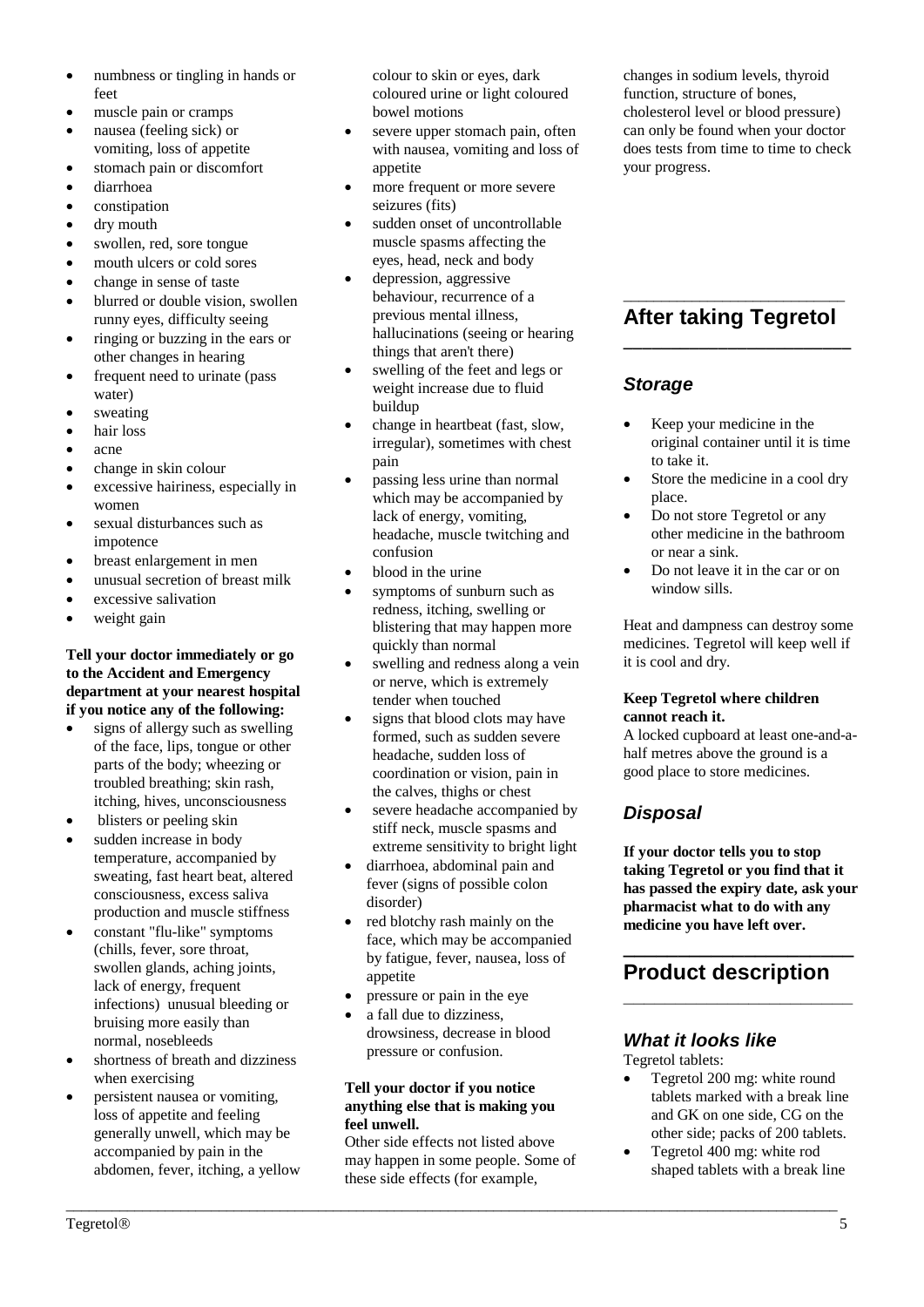- numbness or tingling in hands or feet
- muscle pain or cramps
- nausea (feeling sick) or vomiting, loss of appetite
- stomach pain or discomfort
- diarrhoea
- constipation
- dry mouth
- swollen, red, sore tongue
- mouth ulcers or cold sores
- change in sense of taste
- blurred or double vision, swollen runny eyes, difficulty seeing
- ringing or buzzing in the ears or other changes in hearing
- frequent need to urinate (pass water)
- sweating
- hair loss
- acne
- change in skin colour
- excessive hairiness, especially in women
- sexual disturbances such as impotence
- breast enlargement in men
- unusual secretion of breast milk
- excessive salivation
- weight gain

## **Tell your doctor immediately or go to the Accident and Emergency department at your nearest hospital if you notice any of the following:**

- signs of allergy such as swelling of the face, lips, tongue or other parts of the body; wheezing or troubled breathing; skin rash, itching, hives, unconsciousness
- blisters or peeling skin
- sudden increase in body temperature, accompanied by sweating, fast heart beat, altered consciousness, excess saliva production and muscle stiffness
- constant "flu-like" symptoms (chills, fever, sore throat, swollen glands, aching joints, lack of energy, frequent infections) unusual bleeding or bruising more easily than normal, nosebleeds
- shortness of breath and dizziness when exercising
- persistent nausea or vomiting, loss of appetite and feeling generally unwell, which may be accompanied by pain in the abdomen, fever, itching, a yellow

colour to skin or eyes, dark coloured urine or light coloured bowel motions

- severe upper stomach pain, often with nausea, vomiting and loss of appetite
- more frequent or more severe seizures (fits)
- sudden onset of uncontrollable muscle spasms affecting the eyes, head, neck and body
- depression, aggressive behaviour, recurrence of a previous mental illness, hallucinations (seeing or hearing things that aren't there)
- swelling of the feet and legs or weight increase due to fluid buildup
- change in heartbeat (fast, slow, irregular), sometimes with chest pain
- passing less urine than normal which may be accompanied by lack of energy, vomiting, headache, muscle twitching and confusion
- blood in the urine
- symptoms of sunburn such as redness, itching, swelling or blistering that may happen more quickly than normal
- swelling and redness along a vein or nerve, which is extremely tender when touched
- signs that blood clots may have formed, such as sudden severe headache, sudden loss of coordination or vision, pain in the calves, thighs or chest
- severe headache accompanied by stiff neck, muscle spasms and extreme sensitivity to bright light
- diarrhoea, abdominal pain and fever (signs of possible colon disorder)
- red blotchy rash mainly on the face, which may be accompanied by fatigue, fever, nausea, loss of appetite
- pressure or pain in the eye
- a fall due to dizziness, drowsiness, decrease in blood pressure or confusion.

## **Tell your doctor if you notice anything else that is making you feel unwell.**

Other side effects not listed above may happen in some people. Some of these side effects (for example,

\_\_\_\_\_\_\_\_\_\_\_\_\_\_\_\_\_\_\_\_\_\_\_\_\_\_\_\_\_\_\_\_\_\_\_\_\_\_\_\_\_\_\_\_\_\_\_\_\_\_\_\_\_\_\_\_\_\_\_\_\_\_\_\_\_\_\_\_\_\_\_\_\_\_\_\_\_\_\_\_\_\_\_\_\_\_\_\_\_\_\_\_\_\_\_\_\_\_\_\_\_

changes in sodium levels, thyroid function, structure of bones, cholesterol level or blood pressure) can only be found when your doctor does tests from time to time to check your progress.

## \_\_\_\_\_\_\_\_\_\_\_\_\_\_\_\_\_\_\_\_\_\_\_\_\_\_\_\_\_ **After taking Tegretol \_\_\_\_\_\_\_\_\_\_\_\_\_\_\_\_\_\_\_\_\_\_\_\_**

## *Storage*

- Keep your medicine in the original container until it is time to take it.
- Store the medicine in a cool dry place.
- Do not store Tegretol or any other medicine in the bathroom or near a sink.
- Do not leave it in the car or on window sills.

Heat and dampness can destroy some medicines. Tegretol will keep well if it is cool and dry.

## **Keep Tegretol where children cannot reach it.**

A locked cupboard at least one-and-ahalf metres above the ground is a good place to store medicines.

# *Disposal*

**If your doctor tells you to stop taking Tegretol or you find that it has passed the expiry date, ask your pharmacist what to do with any medicine you have left over.**

# **\_\_\_\_\_\_\_\_\_\_\_\_\_\_\_\_\_\_\_\_\_ Product description**

**\_\_\_\_\_\_\_\_\_\_\_\_\_\_\_\_\_\_\_\_\_\_**

## *What it looks like*

Tegretol tablets:

- Tegretol 200 mg: white round tablets marked with a break line and GK on one side, CG on the other side; packs of 200 tablets.
- Tegretol 400 mg: white rod shaped tablets with a break line